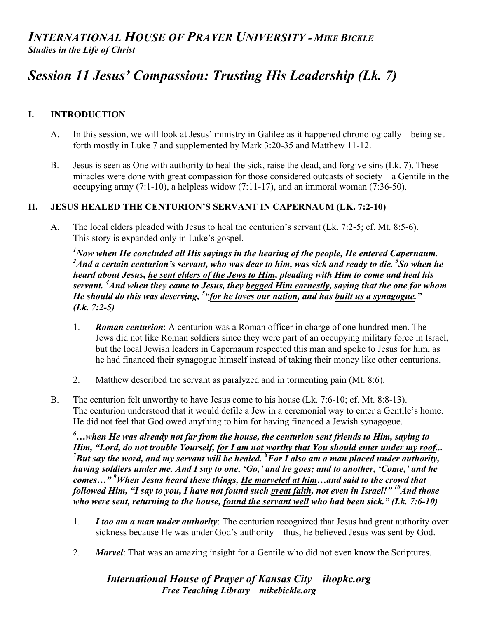# *Session 11 Jesus' Compassion: Trusting His Leadership (Lk. 7)*

## **I. INTRODUCTION**

- A. In this session, we will look at Jesus' ministry in Galilee as it happened chronologically—being set forth mostly in Luke 7 and supplemented by Mark 3:20-35 and Matthew 11-12.
- B. Jesus is seen as One with authority to heal the sick, raise the dead, and forgive sins (Lk. 7). These miracles were done with great compassion for those considered outcasts of society—a Gentile in the occupying army  $(7:1-10)$ , a helpless widow  $(7:11-17)$ , and an immoral woman  $(7:36-50)$ .

#### **II. JESUS HEALED THE CENTURION'S SERVANT IN CAPERNAUM (LK. 7:2-10)**

A. The local elders pleaded with Jesus to heal the centurion's servant (Lk. 7:2-5; cf. Mt. 8:5-6). This story is expanded only in Luke's gospel.

<sup>1</sup> Now when He concluded all His sayings in the hearing of the people, <u>He entered Capernaum.</u><br>2<sup>2</sup> And a eartein eartyrian's servent, who was dear to him, was sighted ready to dia <sup>3</sup>So when h *And a certain centurion's servant, who was dear to him, was sick and ready to die. 3 So when he heard about Jesus, he sent elders of the Jews to Him, pleading with Him to come and heal his servant. <sup>4</sup> And when they came to Jesus, they begged Him earnestly, saying that the one for whom He should do this was deserving, 5 "for he loves our nation, and has built us a synagogue." (Lk. 7:2-5)*

- 1. *Roman centurion*: A centurion was a Roman officer in charge of one hundred men. The Jews did not like Roman soldiers since they were part of an occupying military force in Israel, but the local Jewish leaders in Capernaum respected this man and spoke to Jesus for him, as he had financed their synagogue himself instead of taking their money like other centurions.
- 2. Matthew described the servant as paralyzed and in tormenting pain (Mt. 8:6).
- B. The centurion felt unworthy to have Jesus come to his house (Lk. 7:6-10; cf. Mt. 8:8-13). The centurion understood that it would defile a Jew in a ceremonial way to enter a Gentile's home. He did not feel that God owed anything to him for having financed a Jewish synagogue.

*6 …when He was already not far from the house, the centurion sent friends to Him, saying to Him, "Lord, do not trouble Yourself, for I am not worthy that You should enter under my roof... But say the word, and my servant will be healed. <sup>8</sup> For I also am a man placed under authority, having soldiers under me. And I say to one, 'Go,' and he goes; and to another, 'Come,' and he comes…" 9 When Jesus heard these things, He marveled at him…and said to the crowd that followed Him, "I say to you, I have not found such great faith, not even in Israel!"* <sup>10</sup>And those *who were sent, returning to the house, found the servant well who had been sick." (Lk. 7:6-10)*

- 1. *I too am a man under authority*: The centurion recognized that Jesus had great authority over sickness because He was under God's authority—thus, he believed Jesus was sent by God.
- 2. *Marvel*: That was an amazing insight for a Gentile who did not even know the Scriptures.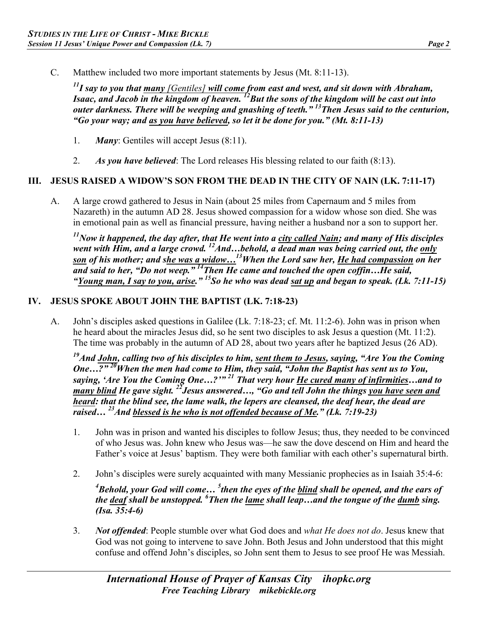C. Matthew included two more important statements by Jesus (Mt. 8:11-13).

*11I say to you that many [Gentiles] will come from east and west, and sit down with Abraham, Isaac, and Jacob in the kingdom of heaven. 12But the sons of the kingdom will be cast out into outer darkness. There will be weeping and gnashing of teeth." 13Then Jesus said to the centurion, "Go your way; and as you have believed, so let it be done for you." (Mt. 8:11-13)*

- 1. *Many*: Gentiles will accept Jesus (8:11).
- 2. *As you have believed*: The Lord releases His blessing related to our faith (8:13).

### **III. JESUS RAISED A WIDOW'S SON FROM THE DEAD IN THE CITY OF NAIN (LK. 7:11-17)**

A. A large crowd gathered to Jesus in Nain (about 25 miles from Capernaum and 5 miles from Nazareth) in the autumn AD 28. Jesus showed compassion for a widow whose son died. She was in emotional pain as well as financial pressure, having neither a husband nor a son to support her.

*11Now it happened, the day after, that He went into a city called Nain; and many of His disciples*  went with Him, and a large crowd. <sup>12</sup>And...behold, a dead man was being carried out, the only *son of his mother; and she was a widow…13When the Lord saw her, He had compassion on her and said to her, "Do not weep." 14Then He came and touched the open coffin…He said, "Young man, I say to you, arise." 15So he who was dead sat up and began to speak. (Lk. 7:11-15)*

### **IV. JESUS SPOKE ABOUT JOHN THE BAPTIST (LK. 7:18-23)**

A. John's disciples asked questions in Galilee (Lk. 7:18-23; cf. Mt. 11:2-6). John was in prison when he heard about the miracles Jesus did, so he sent two disciples to ask Jesus a question (Mt. 11:2). The time was probably in the autumn of AD 28, about two years after he baptized Jesus (26 AD).

*19And John, calling two of his disciples to him, sent them to Jesus, saying, "Are You the Coming One…?" 20When the men had come to Him, they said, "John the Baptist has sent us to You, saying, 'Are You the Coming One…?'" 21 That very hour He cured many of infirmities…and to many blind He gave sight. 22Jesus answered…, "Go and tell John the things you have seen and heard: that the blind see, the lame walk, the lepers are cleansed, the deaf hear, the dead are raised… 23And blessed is he who is not offended because of Me." (Lk. 7:19-23)*

- 1. John was in prison and wanted his disciples to follow Jesus; thus, they needed to be convinced of who Jesus was. John knew who Jesus was—he saw the dove descend on Him and heard the Father's voice at Jesus' baptism. They were both familiar with each other's supernatural birth.
- 2. John's disciples were surely acquainted with many Messianic prophecies as in Isaiah 35:4-6:

*4 Behold, your God will come… <sup>5</sup> then the eyes of the blind shall be opened, and the ears of the deaf shall be unstopped.* <sup>6</sup> Then the <u>lame</u> shall leap...and the tongue of the <u>dumb</u> sing. *(Isa. 35:4-6)*

3. *Not offended*: People stumble over what God does and *what He does not do*. Jesus knew that God was not going to intervene to save John. Both Jesus and John understood that this might confuse and offend John's disciples, so John sent them to Jesus to see proof He was Messiah.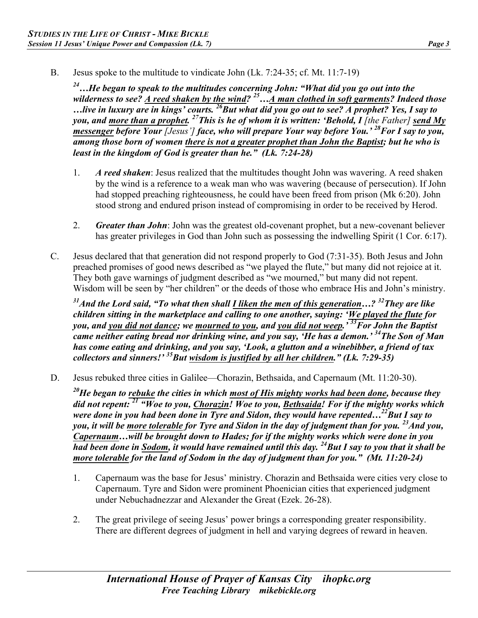B. Jesus spoke to the multitude to vindicate John (Lk. 7:24-35; cf. Mt. 11:7-19)

*24…He began to speak to the multitudes concerning John: "What did you go out into the wilderness to see? A reed shaken by the wind? 25…A man clothed in soft garments? Indeed those …live in luxury are in kings' courts. 26But what did you go out to see? A prophet? Yes, I say to you, and more than a prophet.* <sup>27</sup>This is he of whom it is written: 'Behold, I [the Father] send My *messenger before Your [Jesus'] face, who will prepare Your way before You.' 28For I say to you, among those born of women there is not a greater prophet than John the Baptist; but he who is least in the kingdom of God is greater than he." (Lk. 7:24-28)*

- 1. *A reed shaken*: Jesus realized that the multitudes thought John was wavering. A reed shaken by the wind is a reference to a weak man who was wavering (because of persecution). If John had stopped preaching righteousness, he could have been freed from prison (Mk 6:20). John stood strong and endured prison instead of compromising in order to be received by Herod.
- 2. *Greater than John*: John was the greatest old-covenant prophet, but a new-covenant believer has greater privileges in God than John such as possessing the indwelling Spirit (1 Cor. 6:17).
- C. Jesus declared that that generation did not respond properly to God (7:31-35). Both Jesus and John preached promises of good news described as "we played the flute," but many did not rejoice at it. They both gave warnings of judgment described as "we mourned," but many did not repent. Wisdom will be seen by "her children" or the deeds of those who embrace His and John's ministry.

*31And the Lord said, "To what then shall I liken the men of this generation…? 32They are like children sitting in the marketplace and calling to one another, saying: 'We played the flute for you, and you did not dance; we mourned to you, and you did not weep.' 33For John the Baptist came neither eating bread nor drinking wine, and you say, 'He has a demon.' 34The Son of Man has come eating and drinking, and you say, 'Look, a glutton and a winebibber, a friend of tax collectors and sinners!' 35But wisdom is justified by all her children." (Lk. 7:29-35)*

D. Jesus rebuked three cities in Galilee—Chorazin, Bethsaida, and Capernaum (Mt. 11:20-30).

*20He began to rebuke the cities in which most of His mighty works had been done, because they did not repent: <sup>21</sup> "Woe to you, Chorazin! Woe to you, Bethsaida! For if the mighty works which were done in you had been done in Tyre and Sidon, they would have repented...<sup>22</sup>But I say to you, it will be more tolerable for Tyre and Sidon in the day of judgment than for you. 23And you, Capernaum…will be brought down to Hades; for if the mighty works which were done in you had been done in Sodom, it would have remained until this day. 24But I say to you that it shall be more tolerable for the land of Sodom in the day of judgment than for you." (Mt. 11:20-24)*

- 1. Capernaum was the base for Jesus' ministry. Chorazin and Bethsaida were cities very close to Capernaum. Tyre and Sidon were prominent Phoenician cities that experienced judgment under Nebuchadnezzar and Alexander the Great (Ezek. 26-28).
- 2. The great privilege of seeing Jesus' power brings a corresponding greater responsibility. There are different degrees of judgment in hell and varying degrees of reward in heaven.